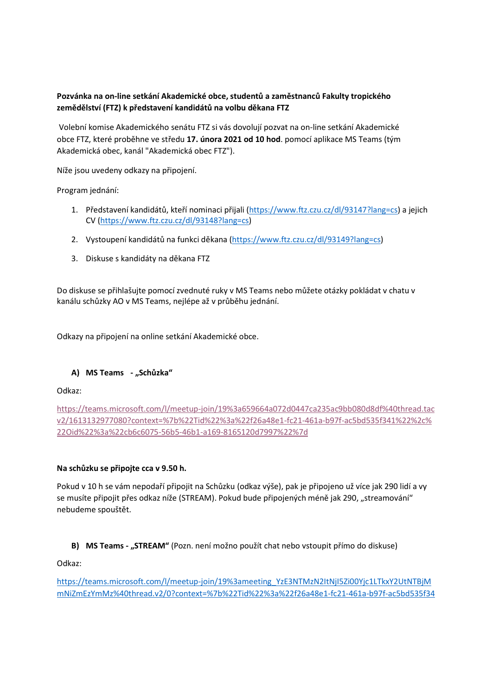# Pozvánka na on-line setkání Akademické obce, studentů a zaměstnanců Fakulty tropického zemědělství (FTZ) k představení kandidátů na volbu děkana FTZ

Volební komise Akademického senátu FTZ si vás dovolují pozvat na on-line setkání Akademické obce FTZ, které proběhne ve středu 17. února 2021 od 10 hod. pomocí aplikace MS Teams (tým Akademická obec, kanál "Akademická obec FTZ").

Níže jsou uvedeny odkazy na připojení.

Program jednání:

- 1. Představení kandidátů, kteří nominaci přijali (https://www.ftz.czu.cz/dl/93147?lang=cs) a jejich CV (https://www.ftz.czu.cz/dl/93148?lang=cs)
- 2. Vystoupení kandidátů na funkci děkana (https://www.ftz.czu.cz/dl/93149?lang=cs)
- 3. Diskuse s kandidáty na děkana FTZ

Do diskuse se přihlašujte pomocí zvednuté ruky v MS Teams nebo můžete otázky pokládat v chatu v kanálu schůzky AO v MS Teams, nejlépe až v průběhu jednání.

Odkazy na připojení na online setkání Akademické obce.

# A) MS Teams - "Schůzka"

Odkaz:

https://teams.microsoft.com/l/meetup-join/19%3a659664a072d0447ca235ac9bb080d8df%40thread.tac v2/1613132977080?context=%7b%22Tid%22%3a%22f26a48e1-fc21-461a-b97f-ac5bd535f341%22%2c% 22Oid%22%3a%22cb6c6075-56b5-46b1-a169-8165120d7997%22%7d

### Na schůzku se připojte cca v 9.50 h.

Pokud v 10 h se vám nepodaří připojit na Schůzku (odkaz výše), pak je připojeno už více jak 290 lidí a vy se musíte připojit přes odkaz níže (STREAM). Pokud bude připojených méně jak 290, "streamování" nebudeme spouštět.

### B) MS Teams - "STREAM" (Pozn. není možno použít chat nebo vstoupit přímo do diskuse)

Odkaz:

https://teams.microsoft.com/l/meetup-join/19%3ameeting\_YzE3NTMzN2ItNjI5Zi00Yjc1LTkxY2UtNTBjM mNiZmEzYmMz%40thread.v2/0?context=%7b%22Tid%22%3a%22f26a48e1-fc21-461a-b97f-ac5bd535f34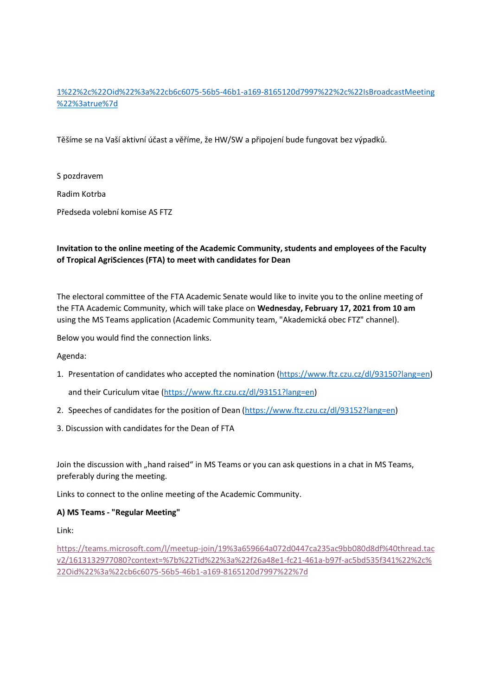# 1%22%2c%22Oid%22%3a%22cb6c6075-56b5-46b1-a169-8165120d7997%22%2c%22IsBroadcastMeeting %22%3atrue%7d

Těšíme se na Vaší aktivní účast a věříme, že HW/SW a připojení bude fungovat bez výpadků.

S pozdravem

Radim Kotrba

Předseda volební komise AS FTZ

### Invitation to the online meeting of the Academic Community, students and employees of the Faculty of Tropical AgriSciences (FTA) to meet with candidates for Dean

The electoral committee of the FTA Academic Senate would like to invite you to the online meeting of the FTA Academic Community, which will take place on Wednesday, February 17, 2021 from 10 am using the MS Teams application (Academic Community team, "Akademická obec FTZ" channel).

Below you would find the connection links.

Agenda:

1. Presentation of candidates who accepted the nomination (https://www.ftz.czu.cz/dl/93150?lang=en)

and their Curiculum vitae (https://www.ftz.czu.cz/dl/93151?lang=en)

- 2. Speeches of candidates for the position of Dean (https://www.ftz.czu.cz/dl/93152?lang=en)
- 3. Discussion with candidates for the Dean of FTA

Join the discussion with "hand raised" in MS Teams or you can ask questions in a chat in MS Teams, preferably during the meeting.

Links to connect to the online meeting of the Academic Community.

# A) MS Teams - "Regular Meeting"

Link:

https://teams.microsoft.com/l/meetup-join/19%3a659664a072d0447ca235ac9bb080d8df%40thread.tac v2/1613132977080?context=%7b%22Tid%22%3a%22f26a48e1-fc21-461a-b97f-ac5bd535f341%22%2c% 22Oid%22%3a%22cb6c6075-56b5-46b1-a169-8165120d7997%22%7d